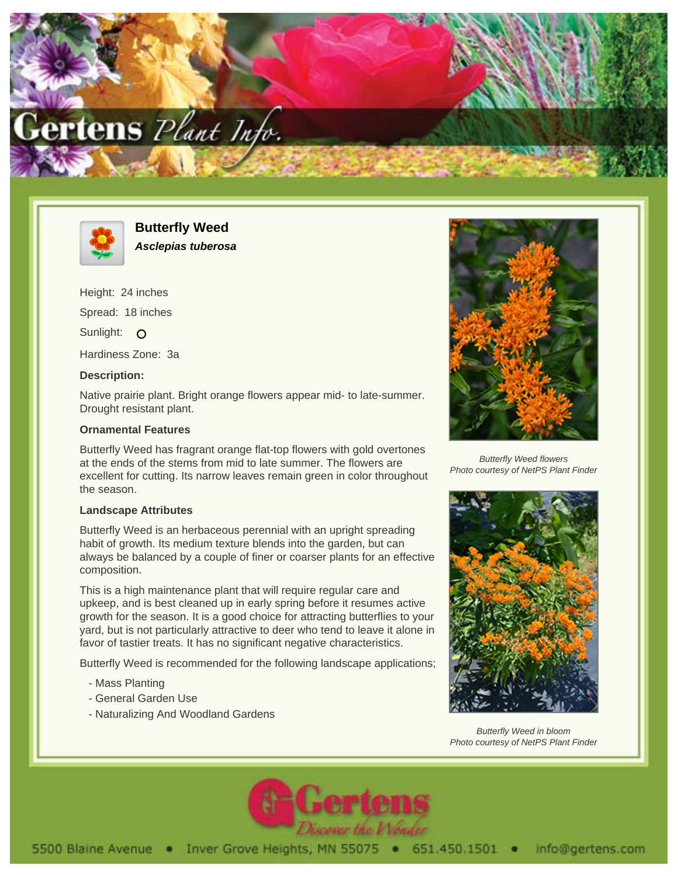



**Butterfly Weed Asclepias tuberosa**

Height: 24 inches Spread: 18 inches Sunlight: O Hardiness Zone: 3a

## **Description:**

Native prairie plant. Bright orange flowers appear mid- to late-summer. Drought resistant plant.

## **Ornamental Features**

Butterfly Weed has fragrant orange flat-top flowers with gold overtones at the ends of the stems from mid to late summer. The flowers are excellent for cutting. Its narrow leaves remain green in color throughout the season.

## **Landscape Attributes**

Butterfly Weed is an herbaceous perennial with an upright spreading habit of growth. Its medium texture blends into the garden, but can always be balanced by a couple of finer or coarser plants for an effective composition.

This is a high maintenance plant that will require regular care and upkeep, and is best cleaned up in early spring before it resumes active growth for the season. It is a good choice for attracting butterflies to your yard, but is not particularly attractive to deer who tend to leave it alone in favor of tastier treats. It has no significant negative characteristics.

Butterfly Weed is recommended for the following landscape applications;

- Mass Planting
- General Garden Use
- Naturalizing And Woodland Gardens



Butterfly Weed flowers Photo courtesy of NetPS Plant Finder



Butterfly Weed in bloom Photo courtesy of NetPS Plant Finder